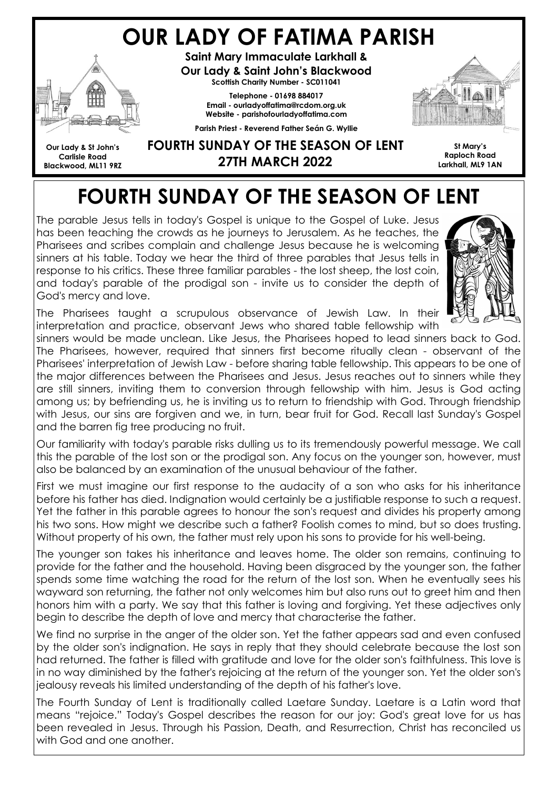## OUR LADY OF FATIMA PARISH



Saint Mary Immaculate Larkhall & Our Lady & Saint John's Blackwood Scottish Charity Number - SC011041

> Telephone - 01698 884017 Email - ourladyoffatima@rcdom.org.uk Website - parishofourladyoffatima.com

Parish Priest - Reverend Father Seán G. Wyllie



Our Lady & St John's Carlisle Road Blackwood, ML11 9RZ

## FOURTH SUNDAY OF THE SEASON OF LENT 27TH MARCH 2022

St Mary's Raploch Road Larkhall, ML9 1AN

# FOURTH SUNDAY OF THE SEASON OF LENT

The parable Jesus tells in today's Gospel is unique to the Gospel of Luke. Jesus has been teaching the crowds as he journeys to Jerusalem. As he teaches, the Pharisees and scribes complain and challenge Jesus because he is welcoming sinners at his table. Today we hear the third of three parables that Jesus tells in response to his critics. These three familiar parables - the lost sheep, the lost coin, and today's parable of the prodigal son - invite us to consider the depth of God's mercy and love.



The Pharisees taught a scrupulous observance of Jewish Law. In their interpretation and practice, observant Jews who shared table fellowship with

sinners would be made unclean. Like Jesus, the Pharisees hoped to lead sinners back to God. The Pharisees, however, required that sinners first become ritually clean - observant of the Pharisees' interpretation of Jewish Law - before sharing table fellowship. This appears to be one of the major differences between the Pharisees and Jesus. Jesus reaches out to sinners while they are still sinners, inviting them to conversion through fellowship with him. Jesus is God acting among us; by befriending us, he is inviting us to return to friendship with God. Through friendship with Jesus, our sins are forgiven and we, in turn, bear fruit for God. Recall last Sunday's Gospel and the barren fig tree producing no fruit.

Our familiarity with today's parable risks dulling us to its tremendously powerful message. We call this the parable of the lost son or the prodigal son. Any focus on the younger son, however, must also be balanced by an examination of the unusual behaviour of the father.

First we must imagine our first response to the audacity of a son who asks for his inheritance before his father has died. Indignation would certainly be a justifiable response to such a request. Yet the father in this parable agrees to honour the son's request and divides his property among his two sons. How might we describe such a father? Foolish comes to mind, but so does trusting. Without property of his own, the father must rely upon his sons to provide for his well-being.

The younger son takes his inheritance and leaves home. The older son remains, continuing to provide for the father and the household. Having been disgraced by the younger son, the father spends some time watching the road for the return of the lost son. When he eventually sees his wayward son returning, the father not only welcomes him but also runs out to greet him and then honors him with a party. We say that this father is loving and forgiving. Yet these adjectives only begin to describe the depth of love and mercy that characterise the father.

We find no surprise in the anger of the older son. Yet the father appears sad and even confused by the older son's indignation. He says in reply that they should celebrate because the lost son had returned. The father is filled with gratitude and love for the older son's faithfulness. This love is in no way diminished by the father's rejoicing at the return of the younger son. Yet the older son's jealousy reveals his limited understanding of the depth of his father's love.

The Fourth Sunday of Lent is traditionally called Laetare Sunday. Laetare is a Latin word that means "rejoice." Today's Gospel describes the reason for our joy: God's great love for us has been revealed in Jesus. Through his Passion, Death, and Resurrection, Christ has reconciled us with God and one another.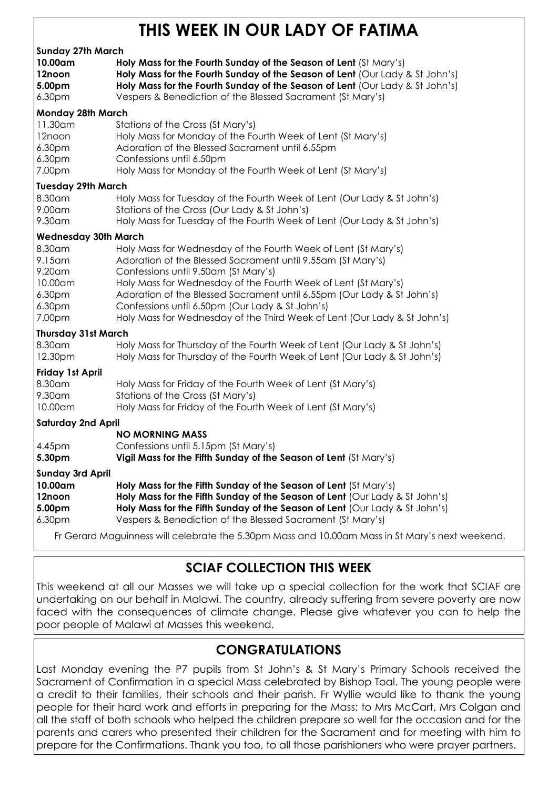## THIS WEEK IN OUR LADY OF FATIMA

|                                                                                                       | TELIN IIT VUN LAD I                                                                                                                                                                                                                                                                                                                                                                                                                              |
|-------------------------------------------------------------------------------------------------------|--------------------------------------------------------------------------------------------------------------------------------------------------------------------------------------------------------------------------------------------------------------------------------------------------------------------------------------------------------------------------------------------------------------------------------------------------|
| <b>Sunday 27th March</b><br>10.00am<br>12noon<br>5.00pm<br>6.30pm                                     | Holy Mass for the Fourth Sunday of the Season of Lent (St Mary's)<br>Holy Mass for the Fourth Sunday of the Season of Lent (Our Lady & St John's)<br>Holy Mass for the Fourth Sunday of the Season of Lent (Our Lady & St John's)<br>Vespers & Benediction of the Blessed Sacrament (St Mary's)                                                                                                                                                  |
| <b>Monday 28th March</b><br>11.30am<br>12noon<br>6.30pm<br>6.30pm<br>7.00pm                           | Stations of the Cross (St Mary's)<br>Holy Mass for Monday of the Fourth Week of Lent (St Mary's)<br>Adoration of the Blessed Sacrament until 6.55pm<br>Confessions until 6.50pm<br>Holy Mass for Monday of the Fourth Week of Lent (St Mary's)                                                                                                                                                                                                   |
| <b>Tuesday 29th March</b><br>8.30am<br>9.00am<br>9.30am                                               | Holy Mass for Tuesday of the Fourth Week of Lent (Our Lady & St John's)<br>Stations of the Cross (Our Lady & St John's)<br>Holy Mass for Tuesday of the Fourth Week of Lent (Our Lady & St John's)                                                                                                                                                                                                                                               |
| <b>Wednesday 30th March</b><br>8.30am<br>$9.15$ am<br>9.20am<br>10.00am<br>6.30pm<br>6.30pm<br>7.00pm | Holy Mass for Wednesday of the Fourth Week of Lent (St Mary's)<br>Adoration of the Blessed Sacrament until 9.55am (St Mary's)<br>Confessions until 9.50am (St Mary's)<br>Holy Mass for Wednesday of the Fourth Week of Lent (St Mary's)<br>Adoration of the Blessed Sacrament until 6.55pm (Our Lady & St John's)<br>Confessions until 6.50pm (Our Lady & St John's)<br>Holy Mass for Wednesday of the Third Week of Lent (Our Lady & St John's) |
| <b>Thursday 31st March</b><br>8.30am<br>12.30pm                                                       | Holy Mass for Thursday of the Fourth Week of Lent (Our Lady & St John's)<br>Holy Mass for Thursday of the Fourth Week of Lent (Our Lady & St John's)                                                                                                                                                                                                                                                                                             |
| <b>Friday 1st April</b><br>8.30am<br>9.30am<br>10.00am                                                | Holy Mass for Friday of the Fourth Week of Lent (St Mary's)<br>Stations of the Cross (St Mary's)<br>Holy Mass for Friday of the Fourth Week of Lent (St Mary's)                                                                                                                                                                                                                                                                                  |
| <b>Saturday 2nd April</b><br>4.45pm<br>5.30pm                                                         | <b>NO MORNING MASS</b><br>Confessions until 5.15pm (St Mary's)<br>Vigil Mass for the Fifth Sunday of the Season of Lent (St Mary's)                                                                                                                                                                                                                                                                                                              |
| <b>Sunday 3rd April</b><br>10.00am<br>12noon<br>5.00pm<br>6.30pm                                      | Holy Mass for the Fifth Sunday of the Season of Lent (St Mary's)<br>Holy Mass for the Fifth Sunday of the Season of Lent (Our Lady & St John's)<br>Holy Mass for the Fifth Sunday of the Season of Lent (Our Lady & St John's)<br>Vespers & Benediction of the Blessed Sacrament (St Mary's)                                                                                                                                                     |
|                                                                                                       | Fr Gerard Maguinness will celebrate the 5.30pm Mass and 10.00am Mass in St Mary's next weekend.                                                                                                                                                                                                                                                                                                                                                  |

#### SCIAF COLLECTION THIS WEEK

This weekend at all our Masses we will take up a special collection for the work that SCIAF are undertaking on our behalf in Malawi. The country, already suffering from severe poverty are now faced with the consequences of climate change. Please give whatever you can to help the poor people of Malawi at Masses this weekend.

## CONGRATULATIONS

Last Monday evening the P7 pupils from St John's & St Mary's Primary Schools received the Sacrament of Confirmation in a special Mass celebrated by Bishop Toal. The young people were a credit to their families, their schools and their parish. Fr Wyllie would like to thank the young people for their hard work and efforts in preparing for the Mass; to Mrs McCart, Mrs Colgan and all the staff of both schools who helped the children prepare so well for the occasion and for the parents and carers who presented their children for the Sacrament and for meeting with him to prepare for the Confirmations. Thank you too, to all those parishioners who were prayer partners.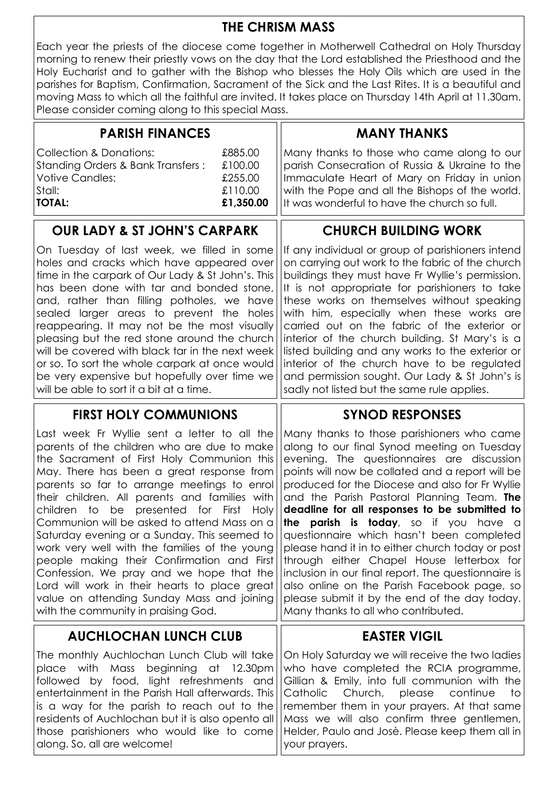#### THE CHRISM MASS

Each year the priests of the diocese come together in Motherwell Cathedral on Holy Thursday morning to renew their priestly vows on the day that the Lord established the Priesthood and the Holy Eucharist and to gather with the Bishop who blesses the Holy Oils which are used in the parishes for Baptism, Confirmation, Sacrament of the Sick and the Last Rites. It is a beautiful and moving Mass to which all the faithful are invited. It takes place on Thursday 14th April at 11.30am. Please consider coming along to this special Mass.

| <b>PARISH FINANCES</b>                                                                                                       |                                                       | <b>MANY THANKS</b>                                                                                                                                                                                                                             |
|------------------------------------------------------------------------------------------------------------------------------|-------------------------------------------------------|------------------------------------------------------------------------------------------------------------------------------------------------------------------------------------------------------------------------------------------------|
| <b>Collection &amp; Donations:</b><br>Standing Orders & Bank Transfers:<br><b>Votive Candles:</b><br>Stall:<br><b>TOTAL:</b> | £885.00<br>£100.00<br>£255.00<br>£110.00<br>£1,350.00 | Many thanks to those who came along to our<br>parish Consecration of Russia & Ukraine to the<br>Immaculate Heart of Mary on Friday in union<br>with the Pope and all the Bishops of the world.<br>It was wonderful to have the church so full. |
| <b>OUR LADY &amp; ST JOHN'S CARPARK</b>                                                                                      |                                                       | <b>CHURCH BUILDING WORK</b>                                                                                                                                                                                                                    |

on carrying out work to the fabric of the church buildings they must have Fr Wyllie's permission. It is not appropriate for parishioners to take these works on themselves without speaking with him, especially when these works are carried out on the fabric of the exterior or interior of the church building. St Mary's is a listed building and any works to the exterior or interior of the church have to be regulated and permission sought. Our Lady & St John's is

sadly not listed but the same rule applies.

SYNOD RESPONSES

EASTER VIGIL

On Tuesday of last week, we filled in some ||If any individual or group of parishioners intend holes and cracks which have appeared over time in the carpark of Our Lady & St John's. This has been done with tar and bonded stone, and, rather than filling potholes, we have sealed larger areas to prevent the holes reappearing. It may not be the most visually pleasing but the red stone around the church will be covered with black tar in the next week or so. To sort the whole carpark at once would be very expensive but hopefully over time we will be able to sort it a bit at a time.

#### FIRST HOLY COMMUNIONS

Many thanks to those parishioners who came along to our final Synod meeting on Tuesday evening. The questionnaires are discussion points will now be collated and a report will be produced for the Diocese and also for Fr Wyllie and the Parish Pastoral Planning Team. The deadline for all responses to be submitted to the parish is today, so if you have a questionnaire which hasn't been completed please hand it in to either church today or post through either Chapel House letterbox for inclusion in our final report. The questionnaire is also online on the Parish Facebook page, so please submit it by the end of the day today. Many thanks to all who contributed. Last week Fr Wyllie sent a letter to all the parents of the children who are due to make the Sacrament of First Holy Communion this May. There has been a great response from parents so far to arrange meetings to enrol their children. All parents and families with children to be presented for First Holy Communion will be asked to attend Mass on a Saturday evening or a Sunday. This seemed to work very well with the families of the young people making their Confirmation and First Confession. We pray and we hope that the Lord will work in their hearts to place great value on attending Sunday Mass and joining with the community in praising God.

#### AUCHLOCHAN LUNCH CLUB

The monthly Auchlochan Lunch Club will take place with Mass beginning at 12.30pm followed by food, light refreshments and entertainment in the Parish Hall afterwards. This is a way for the parish to reach out to the residents of Auchlochan but it is also opento all those parishioners who would like to come along. So, all are welcome! On Holy Saturday we will receive the two ladies who have completed the RCIA programme, Gillian & Emily, into full communion with the Catholic Church, please continue to remember them in your prayers. At that same Mass we will also confirm three gentlemen, Helder, Paulo and Josè. Please keep them all in your prayers.